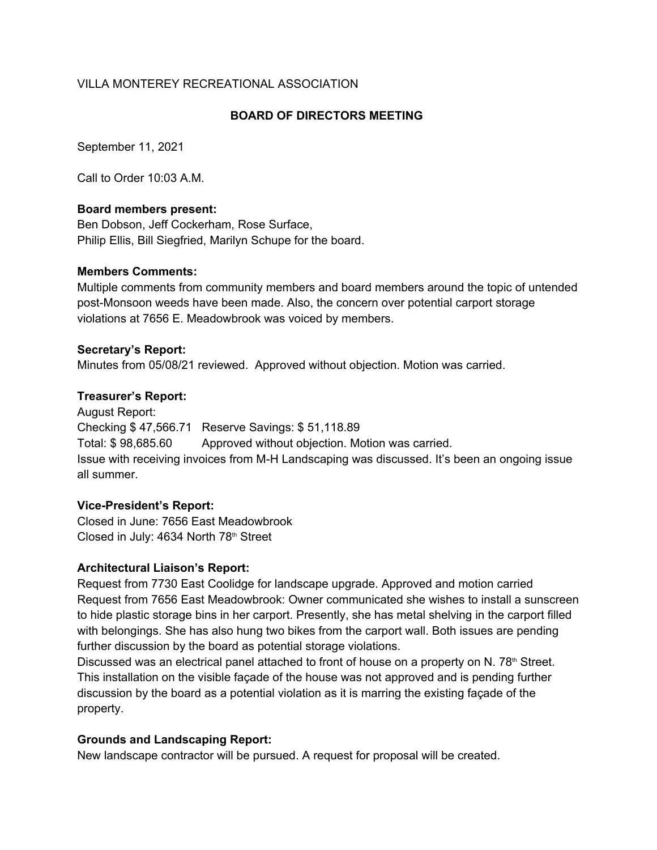## VILLA MONTEREY RECREATIONAL ASSOCIATION

## **BOARD OF DIRECTORS MEETING**

September 11, 2021

Call to Order 10:03 A.M.

### **Board members present:**

Ben Dobson, Jeff Cockerham, Rose Surface, Philip Ellis, Bill Siegfried, Marilyn Schupe for the board.

#### **Members Comments:**

Multiple comments from community members and board members around the topic of untended post-Monsoon weeds have been made. Also, the concern over potential carport storage violations at 7656 E. Meadowbrook was voiced by members.

#### **Secretary's Report:**

Minutes from 05/08/21 reviewed. Approved without objection. Motion was carried.

#### **Treasurer's Report:**

August Report: Checking \$ 47,566.71 Reserve Savings: \$ 51,118.89 Total: \$ 98,685.60 Approved without objection. Motion was carried. Issue with receiving invoices from M-H Landscaping was discussed. It's been an ongoing issue all summer.

## **Vice-President's Report:**

Closed in June: 7656 East Meadowbrook Closed in July: 4634 North 78<sup>th</sup> Street

#### **Architectural Liaison's Report:**

Request from 7730 East Coolidge for landscape upgrade. Approved and motion carried Request from 7656 East Meadowbrook: Owner communicated she wishes to install a sunscreen to hide plastic storage bins in her carport. Presently, she has metal shelving in the carport filled with belongings. She has also hung two bikes from the carport wall. Both issues are pending further discussion by the board as potential storage violations.

Discussed was an electrical panel attached to front of house on a property on N. 78th Street. This installation on the visible façade of the house was not approved and is pending further discussion by the board as a potential violation as it is marring the existing façade of the property.

## **Grounds and Landscaping Report:**

New landscape contractor will be pursued. A request for proposal will be created.